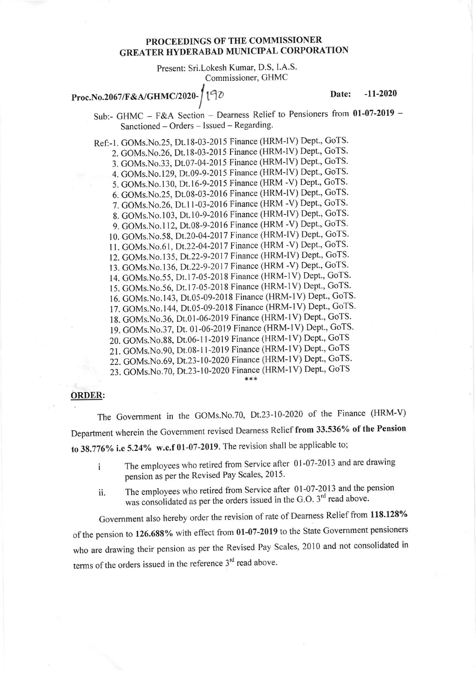## PROCEEDINGS OF THE COMMISSIONER GREATER HYDERABAD MUNICIPAL CORPORATION

Present: Sri.Lokesh Kumar, D.S, I.A.S. Commissioner, GHMC

## Proc.No.2067/F&A/GHMC/2020-

Date: -11-2020

Sub:- GHMC - F&A Section - Dearness Relief to Pensioners from 01-07-2019 -Sanctioned - Orders - Issued - Regarding.

Ref:-1. GOMs.No.25, Dt.18-03-2015 Finance (HRM-IV) Dept., GoTS. 2. GOMs.No.26, Dt.18-03-2015 Finance (HRM-IV) Dept., GoTS. 3. GOMs.No.33, Dt.07-04-2015 Finance (HRM-IV) Dept., GoTS. 4. GOMs.No.129, Dt.09-9-2015 Finance (HRM-IV) Dept., GoTS. 5. GOMs.No.130, Dt.16-9-2015 Finance (HRM -V) Dept., GoTS. 6. GOMs.No.25, Dt.08-03-2016 Finance (HRM-IV) Dept., GoTS. 7. GOMs.No.26, Dt.11-03-2016 Finance (HRM -V) Dept., GoTS. 8. GOMs.No.103, Dt.10-9-2016 Finance (HRM-IV) Dept., GoTS. 9. GOMs.No.112, Dt.08-9-2016 Finance (HRM -V) Dept., GoTS. 10. GOMs. No. 58, Dt. 20-04-2017 Finance (HRM-IV) Dept., GoTS. 11. GOMs. No. 61, Dt. 22-04-2017 Finance (HRM - V) Dept., GoTS. 12. GOMs.No.135, Dt.22-9-2017 Finance (HRM-IV) Dept., GoTS. 13. GOMs.No.136, Dt.22-9-2017 Finance (HRM -V) Dept., GoTS. 14. GOMs.No.55, Dt.17-05-2018 Finance (HRM-1V) Dept., GoTS. 15. GOMs.No.56, Dt.17-05-2018 Finance (HRM-1V) Dept., GoTS. 16. GOMs.No.l43, Dt.05-09-2018 Finance (HRM-lV) Dept, GoTS' 17. GOMs.No.144, Dt.05-09-2018 Finance (HRM-1V) Dept., GoTS. 18. GOMs.No.36, Dt.01-06-2019 Finance (HRM-1V) Dept., GoTS. 19. GOMs.No.37, Dt. 01-06-2019 Finance (HRM-1V) Dept., GoTS. 20. GOMs.No.88, Dt.06-11-2019 Finance (HRM-1V) Dept., GoTS 21. GOMs.No.90, Dt.08-11-2019 Finance (HRM-1V) Dept., GoTS 22. GOMs.No.69, Dt.23-10-2020 Finance (HRM-1V) Dept., GoTS. 23. GOMs.No.70, Dt.23-10-2020 Finance (HRM-1V) Dept., GoTS

## ORDER:

The Government in the GOMs.No.70, Dt.23-10-2020 of the Finance (HRM-V) Department wherein the Government revised Dearness Relief from 33.536% of the Pension to  $38.776\%$  i.e 5.24% w.e.f 01-07-2019. The revision shall be applicable to;

- i The employees who retired from Service after 0l-07-2013 and are drawing pension as per the Revised Pay Scales, 2015.
- ii. The employees who retired from Service after 0l-07-2013 and the pension was consolidated as per the orders issued in the G.O.  $3<sup>rd</sup>$  read above.

Government also hereby order the revision of rate of Dearness Relief from 118.128% of the pension to 126.688% with effect from 01-07-2019 to the State Government pensioners who are drawing their pension as per the Revised Pay Scales, 2010 and not consolidated in terms of the orders issued in the reference  $3<sup>rd</sup>$  read above.